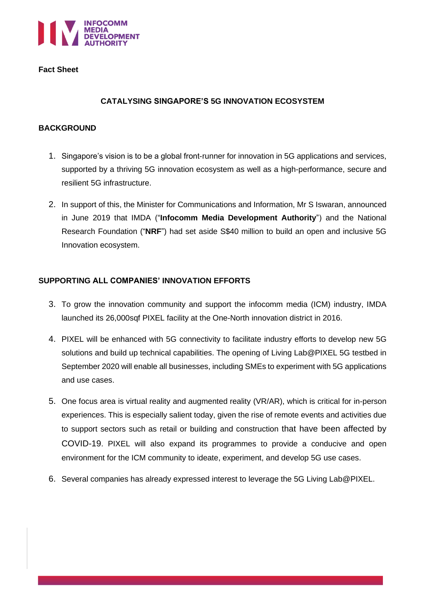

### **Fact Sheet**

## **CATALYSING SINGAPORE'S 5G INNOVATION ECOSYSTEM**

### **BACKGROUND**

- 1. Singapore's vision is to be a global front-runner for innovation in 5G applications and services, supported by a thriving 5G innovation ecosystem as well as a high-performance, secure and resilient 5G infrastructure.
- 2. In support of this, the Minister for Communications and Information, Mr S Iswaran, announced in June 2019 that IMDA ("**Infocomm Media Development Authority**") and the National Research Foundation ("**NRF**") had set aside S\$40 million to build an open and inclusive 5G Innovation ecosystem.

## **SUPPORTING ALL COMPANIES' INNOVATION EFFORTS**

- 3. To grow the innovation community and support the infocomm media (ICM) industry, IMDA launched its 26,000sqf PIXEL facility at the One-North innovation district in 2016.
- 4. PIXEL will be enhanced with 5G connectivity to facilitate industry efforts to develop new 5G solutions and build up technical capabilities. The opening of Living Lab@PIXEL 5G testbed in September 2020 will enable all businesses, including SMEs to experiment with 5G applications and use cases.
- 5. One focus area is virtual reality and augmented reality (VR/AR), which is critical for in-person experiences. This is especially salient today, given the rise of remote events and activities due to support sectors such as retail or building and construction that have been affected by COVID-19. PIXEL will also expand its programmes to provide a conducive and open environment for the ICM community to ideate, experiment, and develop 5G use cases.
- 6. Several companies has already expressed interest to leverage the 5G Living Lab@PIXEL.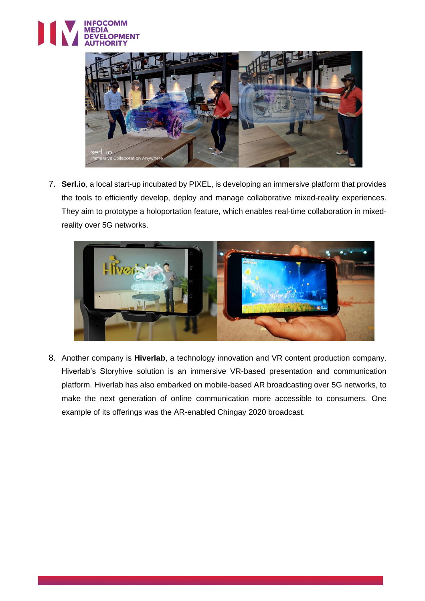



7. **Serl.io**, a local start-up incubated by PIXEL, is developing an immersive platform that provides the tools to efficiently develop, deploy and manage collaborative mixed-reality experiences. They aim to prototype a holoportation feature, which enables real-time collaboration in mixedreality over 5G networks.



8. Another company is **Hiverlab**, a technology innovation and VR content production company. Hiverlab's Storyhive solution is an immersive VR-based presentation and communication platform. Hiverlab has also embarked on mobile-based AR broadcasting over 5G networks, to make the next generation of online communication more accessible to consumers. One example of its offerings was the AR-enabled Chingay 2020 broadcast.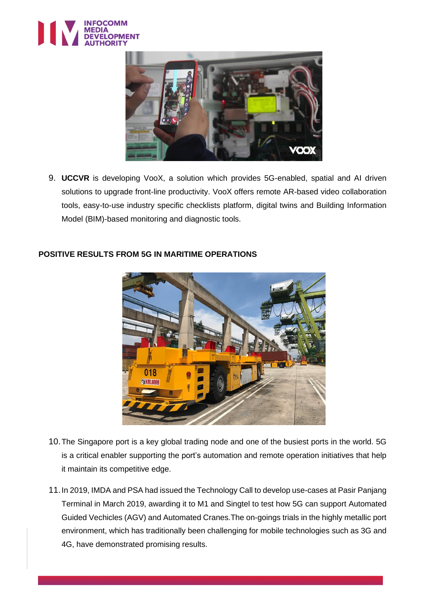



9. **UCCVR** is developing VooX, a solution which provides 5G-enabled, spatial and AI driven solutions to upgrade front-line productivity. VooX offers remote AR-based video collaboration tools, easy-to-use industry specific checklists platform, digital twins and Building Information Model (BIM)-based monitoring and diagnostic tools.



## **POSITIVE RESULTS FROM 5G IN MARITIME OPERATIONS**

- 10.The Singapore port is a key global trading node and one of the busiest ports in the world. 5G is a critical enabler supporting the port's automation and remote operation initiatives that help it maintain its competitive edge.
- 11.In 2019, IMDA and PSA had issued the Technology Call to develop use-cases at Pasir Panjang Terminal in March 2019, awarding it to M1 and Singtel to test how 5G can support Automated Guided Vechicles (AGV) and Automated Cranes.The on-goings trials in the highly metallic port environment, which has traditionally been challenging for mobile technologies such as 3G and 4G, have demonstrated promising results.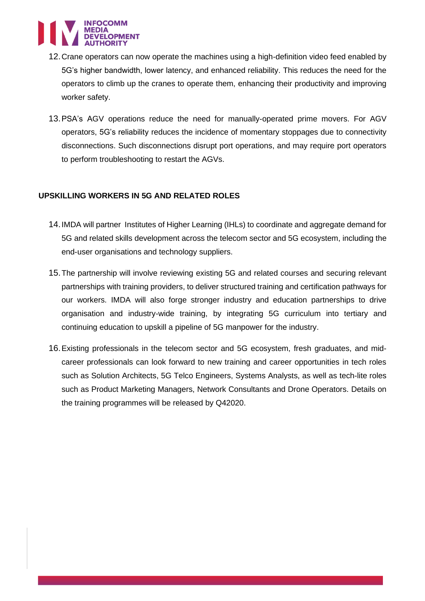

- 12.Crane operators can now operate the machines using a high-definition video feed enabled by 5G's higher bandwidth, lower latency, and enhanced reliability. This reduces the need for the operators to climb up the cranes to operate them, enhancing their productivity and improving worker safety.
- 13.PSA's AGV operations reduce the need for manually-operated prime movers. For AGV operators, 5G's reliability reduces the incidence of momentary stoppages due to connectivity disconnections. Such disconnections disrupt port operations, and may require port operators to perform troubleshooting to restart the AGVs.

### **UPSKILLING WORKERS IN 5G AND RELATED ROLES**

- 14.IMDA will partner Institutes of Higher Learning (IHLs) to coordinate and aggregate demand for 5G and related skills development across the telecom sector and 5G ecosystem, including the end-user organisations and technology suppliers.
- 15.The partnership will involve reviewing existing 5G and related courses and securing relevant partnerships with training providers, to deliver structured training and certification pathways for our workers. IMDA will also forge stronger industry and education partnerships to drive organisation and industry-wide training, by integrating 5G curriculum into tertiary and continuing education to upskill a pipeline of 5G manpower for the industry.
- 16.Existing professionals in the telecom sector and 5G ecosystem, fresh graduates, and midcareer professionals can look forward to new training and career opportunities in tech roles such as Solution Architects, 5G Telco Engineers, Systems Analysts, as well as tech-lite roles such as Product Marketing Managers, Network Consultants and Drone Operators. Details on the training programmes will be released by Q42020.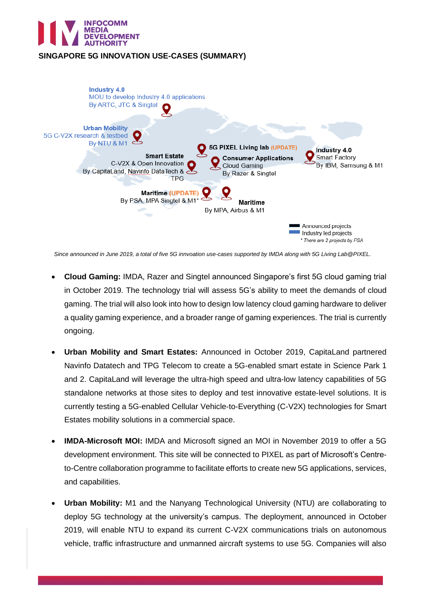

## **SINGAPORE 5G INNOVATION USE-CASES (SUMMARY)**



*Since announced in June 2019, a total of five 5G innvoation use-cases supported by IMDA along with 5G Living Lab@PIXEL.*

- **Cloud Gaming:** IMDA, Razer and Singtel announced Singapore's first 5G cloud gaming trial in October 2019. The technology trial will assess 5G's ability to meet the demands of cloud gaming. The trial will also look into how to design low latency cloud gaming hardware to deliver a quality gaming experience, and a broader range of gaming experiences. The trial is currently ongoing.
- **Urban Mobility and Smart Estates:** Announced in October 2019, CapitaLand partnered Navinfo Datatech and TPG Telecom to create a 5G-enabled smart estate in Science Park 1 and 2. CapitaLand will leverage the ultra-high speed and ultra-low latency capabilities of 5G standalone networks at those sites to deploy and test innovative estate-level solutions. It is currently testing a 5G-enabled Cellular Vehicle-to-Everything (C-V2X) technologies for Smart Estates mobility solutions in a commercial space.
- **IMDA-Microsoft MOI:** IMDA and Microsoft signed an MOI in November 2019 to offer a 5G development environment. This site will be connected to PIXEL as part of Microsoft's Centreto-Centre collaboration programme to facilitate efforts to create new 5G applications, services, and capabilities.
- **Urban Mobility:** M1 and the Nanyang Technological University (NTU) are collaborating to deploy 5G technology at the university's campus. The deployment, announced in October 2019, will enable NTU to expand its current C-V2X communications trials on autonomous vehicle, traffic infrastructure and unmanned aircraft systems to use 5G. Companies will also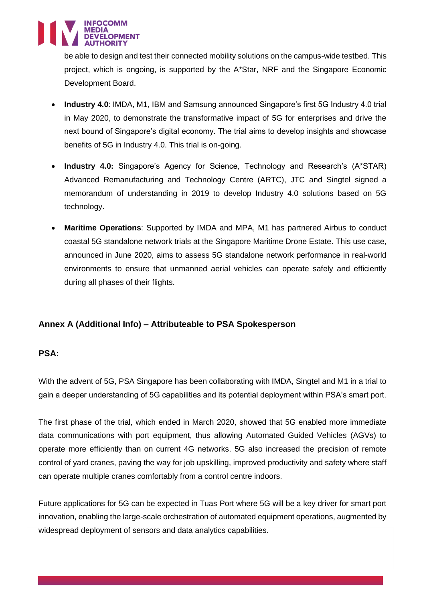

be able to design and test their connected mobility solutions on the campus-wide testbed. This project, which is ongoing, is supported by the A\*Star, NRF and the Singapore Economic Development Board.

- **Industry 4.0**: IMDA, M1, IBM and Samsung announced Singapore's first 5G Industry 4.0 trial in May 2020, to demonstrate the transformative impact of 5G for enterprises and drive the next bound of Singapore's digital economy. The trial aims to develop insights and showcase benefits of 5G in Industry 4.0. This trial is on-going.
- **Industry 4.0:** Singapore's Agency for Science, Technology and Research's (A\*STAR) Advanced Remanufacturing and Technology Centre (ARTC), JTC and Singtel signed a memorandum of understanding in 2019 to develop Industry 4.0 solutions based on 5G technology.
- **Maritime Operations**: Supported by IMDA and MPA, M1 has partnered Airbus to conduct coastal 5G standalone network trials at the Singapore Maritime Drone Estate. This use case, announced in June 2020, aims to assess 5G standalone network performance in real-world environments to ensure that unmanned aerial vehicles can operate safely and efficiently during all phases of their flights.

# **Annex A (Additional Info) – Attributeable to PSA Spokesperson**

## **PSA:**

With the advent of 5G, PSA Singapore has been collaborating with IMDA, Singtel and M1 in a trial to gain a deeper understanding of 5G capabilities and its potential deployment within PSA's smart port.

The first phase of the trial, which ended in March 2020, showed that 5G enabled more immediate data communications with port equipment, thus allowing Automated Guided Vehicles (AGVs) to operate more efficiently than on current 4G networks. 5G also increased the precision of remote control of yard cranes, paving the way for job upskilling, improved productivity and safety where staff can operate multiple cranes comfortably from a control centre indoors.

Future applications for 5G can be expected in Tuas Port where 5G will be a key driver for smart port innovation, enabling the large-scale orchestration of automated equipment operations, augmented by widespread deployment of sensors and data analytics capabilities.